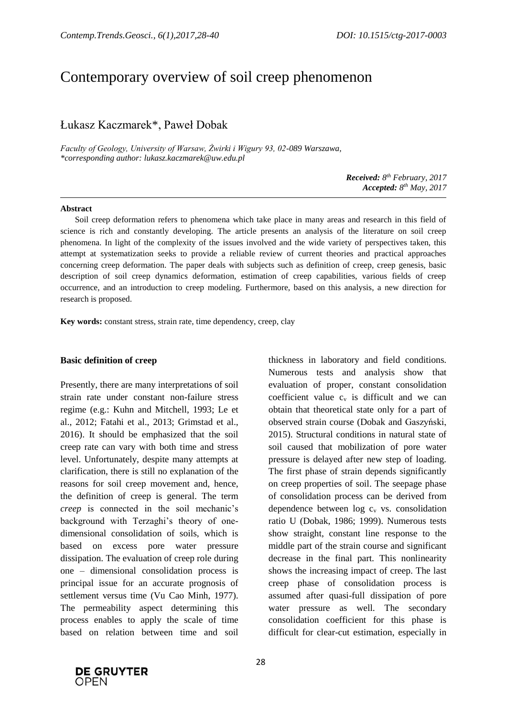# Contemporary overview of soil creep phenomenon

# Łukasz Kaczmarek\*, Paweł Dobak

*Faculty of Geology, University of Warsaw, Żwirki i Wigury 93, 02-089 Warszawa, \*corresponding author: lukasz.kaczmarek@uw.edu.pl*

> *Received: 8 th February, 2017 Accepted: 8 th May, 2017*

#### **Abstract**

Soil creep deformation refers to phenomena which take place in many areas and research in this field of science is rich and constantly developing. The article presents an analysis of the literature on soil creep phenomena. In light of the complexity of the issues involved and the wide variety of perspectives taken, this attempt at systematization seeks to provide a reliable review of current theories and practical approaches concerning creep deformation. The paper deals with subjects such as definition of creep, creep genesis, basic description of soil creep dynamics deformation, estimation of creep capabilities, various fields of creep occurrence, and an introduction to creep modeling. Furthermore, based on this analysis, a new direction for research is proposed.

**Key words:** constant stress, strain rate, time dependency, creep, clay

#### **Basic definition of creep**

Presently, there are many interpretations of soil strain rate under constant non-failure stress regime (e.g.: Kuhn and Mitchell, 1993; Le et al., 2012; Fatahi et al., 2013; Grimstad et al., 2016). It should be emphasized that the soil creep rate can vary with both time and stress level. Unfortunately, despite many attempts at clarification, there is still no explanation of the reasons for soil creep movement and, hence, the definition of creep is general. The term *creep* is connected in the soil mechanic's background with Terzaghi's theory of onedimensional consolidation of soils, which is based on excess pore water pressure dissipation. The evaluation of creep role during one – dimensional consolidation process is principal issue for an accurate prognosis of settlement versus time (Vu Cao Minh, 1977). The permeability aspect determining this process enables to apply the scale of time based on relation between time and soil

thickness in laboratory and field conditions. Numerous tests and analysis show that evaluation of proper, constant consolidation coefficient value  $c_v$  is difficult and we can obtain that theoretical state only for a part of observed strain course (Dobak and Gaszyński, 2015). Structural conditions in natural state of soil caused that mobilization of pore water pressure is delayed after new step of loading. The first phase of strain depends significantly on creep properties of soil. The seepage phase of consolidation process can be derived from dependence between  $log c_v$  vs. consolidation ratio U (Dobak, 1986; 1999). Numerous tests show straight, constant line response to the middle part of the strain course and significant decrease in the final part. This nonlinearity shows the increasing impact of creep. The last creep phase of consolidation process is assumed after quasi-full dissipation of pore water pressure as well. The secondary consolidation coefficient for this phase is difficult for clear-cut estimation, especially in

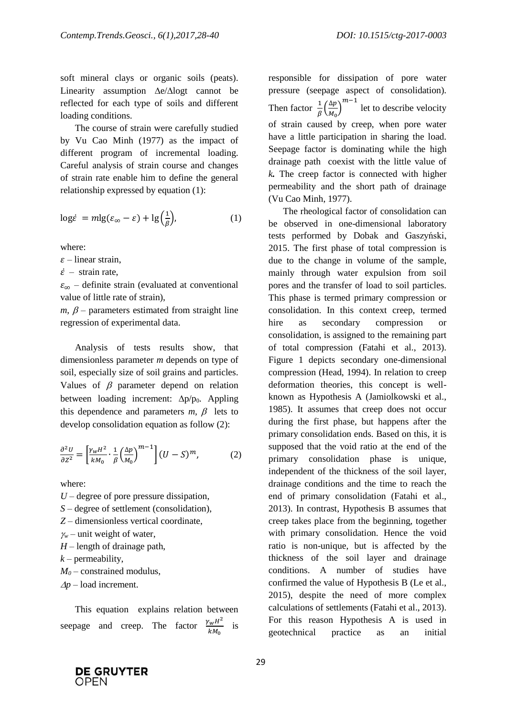soft mineral clays or organic soils (peats). Linearity assumption  $\Delta e/\Delta$ logt cannot be reflected for each type of soils and different loading conditions.

The course of strain were carefully studied by Vu Cao Minh (1977) as the impact of different program of incremental loading. Careful analysis of strain course and changes of strain rate enable him to define the general relationship expressed by equation (1):

$$
\log \dot{\varepsilon} = m \lg(\varepsilon_{\infty} - \varepsilon) + \lg \left(\frac{1}{\beta}\right),\tag{1}
$$

where:

 $\varepsilon$  – linear strain.

 $\dot{\varepsilon}$  – strain rate,

 $\varepsilon_{\infty}$  – definite strain (evaluated at conventional value of little rate of strain),

 $m, \beta$  – parameters estimated from straight line regression of experimental data.

Analysis of tests results show, that dimensionless parameter *m* depends on type of soil, especially size of soil grains and particles. Values of  $\beta$  parameter depend on relation between loading increment:  $\Delta p/p_0$ . Appling this dependence and parameters  $m, \beta$  lets to develop consolidation equation as follow (2):

$$
\frac{\partial^2 U}{\partial Z^2} = \left[ \frac{\gamma_w H^2}{k M_0} \cdot \frac{1}{\beta} \left( \frac{\Delta p}{M_0} \right)^{m-1} \right] (U - S)^m, \tag{2}
$$

where:

*U* – degree of pore pressure dissipation,

- *S* degree of settlement (consolidation),
- *Z* dimensionless vertical coordinate,
- $\chi$ <sup>*w*</sup> unit weight of water,
- *H* length of drainage path,
- $k$  permeability,
- *M<sup>0</sup>* constrained modulus,

 $\Delta p$  – load increment.

This equation explains relation between seepage and creep. The factor  $\frac{\gamma_w H^2}{k M_0}$  is responsible for dissipation of pore water pressure (seepage aspect of consolidation). Then factor  $\frac{1}{\beta} \left( \frac{\Delta p}{M_0} \right)$  $\frac{\Delta p}{M_0}$  $^{m-1}$  let to describe velocity of strain caused by creep, when pore water have a little participation in sharing the load. Seepage factor is dominating while the high drainage path coexist with the little value of *k.* The creep factor is connected with higher permeability and the short path of drainage (Vu Cao Minh, 1977).

The rheological factor of consolidation can be observed in one-dimensional laboratory tests performed by Dobak and Gaszyński, 2015. The first phase of total compression is due to the change in volume of the sample, mainly through water expulsion from soil pores and the transfer of load to soil particles. This phase is termed primary compression or consolidation. In this context creep, termed hire as secondary compression or consolidation, is assigned to the remaining part of total compression (Fatahi et al., 2013). Figure 1 depicts secondary one-dimensional compression (Head, 1994). In relation to creep deformation theories, this concept is wellknown as Hypothesis A (Jamiolkowski et al., 1985). It assumes that creep does not occur during the first phase, but happens after the primary consolidation ends. Based on this, it is supposed that the void ratio at the end of the primary consolidation phase is unique, independent of the thickness of the soil layer, drainage conditions and the time to reach the end of primary consolidation (Fatahi et al., 2013). In contrast, Hypothesis B assumes that creep takes place from the beginning, together with primary consolidation. Hence the void ratio is non-unique, but is affected by the thickness of the soil layer and drainage conditions. A number of studies have confirmed the value of Hypothesis B (Le et al., 2015), despite the need of more complex calculations of settlements (Fatahi et al., 2013). For this reason Hypothesis A is used in geotechnical practice as an initial

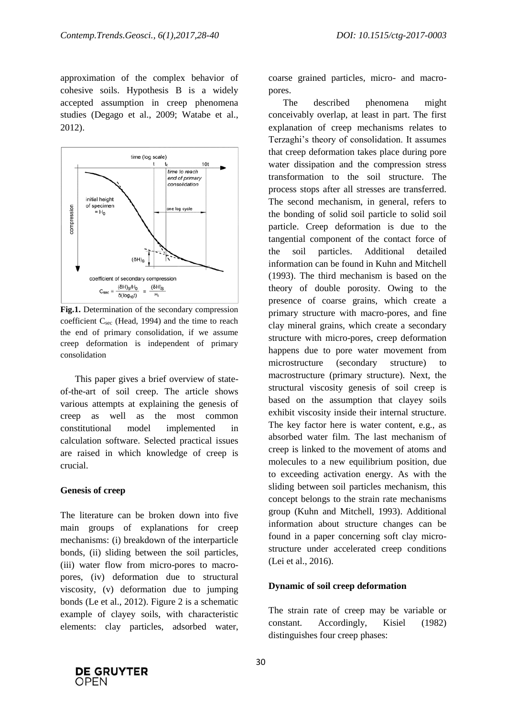approximation of the complex behavior of cohesive soils. Hypothesis B is a widely accepted assumption in creep phenomena studies (Degago et al., 2009; Watabe et al., 2012).



**Fig.1.** Determination of the secondary compression coefficient  $C<sub>sec</sub>$  (Head, 1994) and the time to reach the end of primary consolidation, if we assume creep deformation is independent of primary consolidation

This paper gives a brief overview of stateof-the-art of soil creep. The article shows various attempts at explaining the genesis of creep as well as the most common constitutional model implemented in calculation software. Selected practical issues are raised in which knowledge of creep is crucial.

# **Genesis of creep**

The literature can be broken down into five main groups of explanations for creep mechanisms: (i) breakdown of the interparticle bonds, (ii) sliding between the soil particles, (iii) water flow from micro-pores to macropores, (iv) deformation due to structural viscosity, (v) deformation due to jumping bonds (Le et al., 2012). Figure 2 is a schematic example of clayey soils, with characteristic elements: clay particles, adsorbed water, coarse grained particles, micro- and macropores.

The described phenomena might conceivably overlap, at least in part. The first explanation of creep mechanisms relates to Terzaghi's theory of consolidation. It assumes that creep deformation takes place during pore water dissipation and the compression stress transformation to the soil structure. The process stops after all stresses are transferred. The second mechanism, in general, refers to the bonding of solid soil particle to solid soil particle. Creep deformation is due to the tangential component of the contact force of the soil particles. Additional detailed information can be found in Kuhn and Mitchell (1993). The third mechanism is based on the theory of double porosity. Owing to the presence of coarse grains, which create a primary structure with macro-pores, and fine clay mineral grains, which create a secondary structure with micro-pores, creep deformation happens due to pore water movement from microstructure (secondary structure) to macrostructure (primary structure). Next, the structural viscosity genesis of soil creep is based on the assumption that clayey soils exhibit viscosity inside their internal structure. The key factor here is water content, e.g., as absorbed water film. The last mechanism of creep is linked to the movement of atoms and molecules to a new equilibrium position, due to exceeding activation energy. As with the sliding between soil particles mechanism, this concept belongs to the strain rate mechanisms group (Kuhn and Mitchell, 1993). Additional information about structure changes can be found in a paper concerning soft clay microstructure under accelerated creep conditions (Lei et al., 2016).

#### **Dynamic of soil creep deformation**

The strain rate of creep may be variable or constant. Accordingly, Kisiel (1982) distinguishes four creep phases:

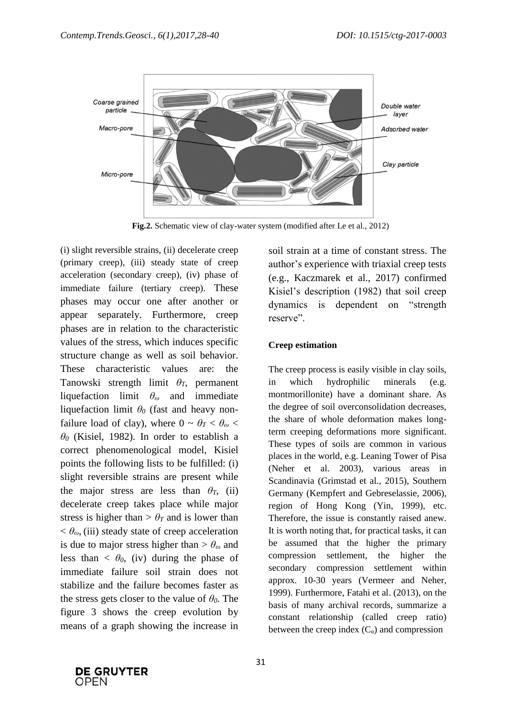

**Fig.2.** Schematic view of clay-water system (modified after Le et al., 2012)

(i) slight reversible strains, (ii) decelerate creep (primary creep), (iii) steady state of creep acceleration (secondary creep), (iv) phase of immediate failure (tertiary creep). These phases may occur one after another or appear separately. Furthermore, creep phases are in relation to the characteristic values of the stress, which induces specific structure change as well as soil behavior. These characteristic values are: the Tanowski strength limit *θT*, permanent liquefaction limit *θ<sup>ω</sup>* and immediate liquefaction limit *θ<sup>0</sup>* (fast and heavy nonfailure load of clay), where  $0 \sim \theta_T < \theta_\omega$ *θ<sup>0</sup>* (Kisiel, 1982). In order to establish a correct phenomenological model, Kisiel points the following lists to be fulfilled: (i) slight reversible strains are present while the major stress are less than  $\theta_T$ , (ii) decelerate creep takes place while major stress is higher than  $> \theta_T$  and is lower than  $< \theta_{\omega}$ , (iii) steady state of creep acceleration is due to major stress higher than  $>\theta_{\omega}$  and less than  $\langle \theta_0, (iv) \rangle$  during the phase of immediate failure soil strain does not stabilize and the failure becomes faster as the stress gets closer to the value of *θ0*. The figure 3 shows the creep evolution by means of a graph showing the increase in

soil strain at a time of constant stress. The author's experience with triaxial creep tests (e.g., Kaczmarek et al., 2017) confirmed Kisiel's description (1982) that soil creep dynamics is dependent on "strength reserve".

### **Creep estimation**

The creep process is easily visible in clay soils, in which hydrophilic minerals (e.g. montmorillonite) have a dominant share. As the degree of soil overconsolidation decreases, the share of whole deformation makes longterm creeping deformations more significant. These types of soils are common in various places in the world, e.g. Leaning Tower of Pisa (Neher et al. 2003), various areas in Scandinavia (Grimstad et al., 2015), Southern Germany (Kempfert and Gebreselassie, 2006), region of Hong Kong (Yin, 1999), etc. Therefore, the issue is constantly raised anew. It is worth noting that, for practical tasks, it can be assumed that the higher the primary compression settlement, the higher the secondary compression settlement within approx. 10-30 years (Vermeer and Neher, 1999). Furthermore, Fatahi et al. (2013), on the basis of many archival records, summarize a constant relationship (called creep ratio) between the creep index  $(C_{\alpha})$  and compression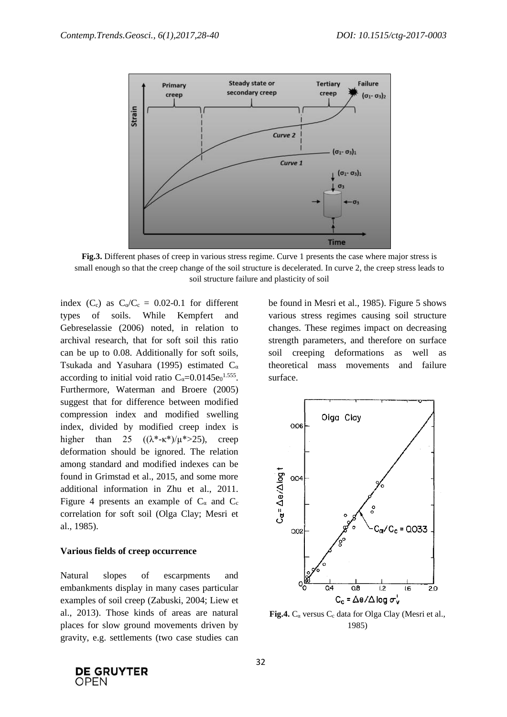

**Fig.3.** Different phases of creep in various stress regime. Curve 1 presents the case where major stress is small enough so that the creep change of the soil structure is decelerated. In curve 2, the creep stress leads to soil structure failure and plasticity of soil

index  $(C_c)$  as  $C_0/C_c = 0.02$ -0.1 for different types of soils. While Kempfert and Gebreselassie (2006) noted, in relation to archival research, that for soft soil this ratio can be up to 0.08. Additionally for soft soils, Tsukada and Yasuhara (1995) estimated  $C_{\alpha}$ according to initial void ratio  $C_{\alpha} = 0.0145e_0^{1.555}$ . Furthermore, Waterman and Broere (2005) suggest that for difference between modified compression index and modified swelling index, divided by modified creep index is higher than 25  $((\lambda^*-\kappa^*)/\mu^* > 25)$ , creep deformation should be ignored. The relation among standard and modified indexes can be found in Grimstad et al., 2015, and some more additional information in Zhu et al., 2011. Figure 4 presents an example of  $C_{\alpha}$  and  $C_{\alpha}$ correlation for soft soil (Olga Clay; Mesri et al., 1985).

#### **Various fields of creep occurrence**

Natural slopes of escarpments and embankments display in many cases particular examples of soil creep (Zabuski, 2004; Liew et al., 2013). Those kinds of areas are natural places for slow ground movements driven by gravity, e.g. settlements (two case studies can be found in Mesri et al., 1985). Figure 5 shows various stress regimes causing soil structure changes. These regimes impact on decreasing strength parameters, and therefore on surface soil creeping deformations as well as theoretical mass movements and failure surface.



**Fig.4.**  $C_{\alpha}$  versus  $C_{\alpha}$  data for Olga Clay (Mesri et al., 1985)

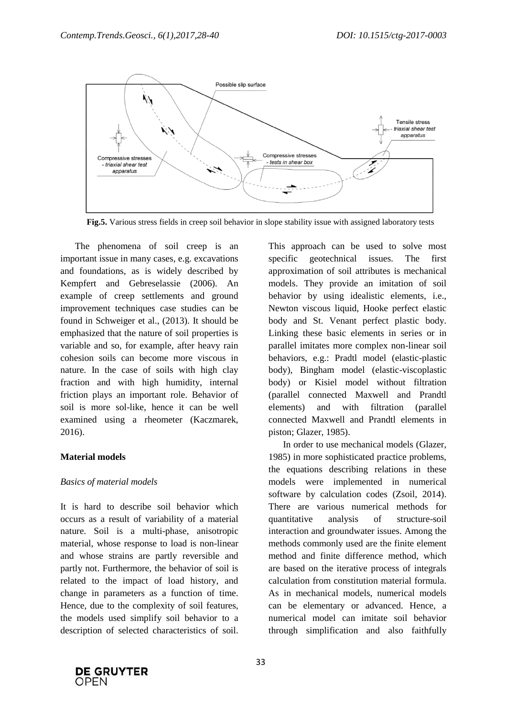

**Fig.5.** Various stress fields in creep soil behavior in slope stability issue with assigned laboratory tests

The phenomena of soil creep is an important issue in many cases, e.g. excavations and foundations, as is widely described by Kempfert and Gebreselassie (2006). An example of creep settlements and ground improvement techniques case studies can be found in Schweiger et al., (2013). It should be emphasized that the nature of soil properties is variable and so, for example, after heavy rain cohesion soils can become more viscous in nature. In the case of soils with high clay fraction and with high humidity, internal friction plays an important role. Behavior of soil is more sol-like, hence it can be well examined using a rheometer (Kaczmarek, 2016).

#### **Material models**

#### *Basics of material models*

It is hard to describe soil behavior which occurs as a result of variability of a material nature. Soil is a multi-phase, anisotropic material, whose response to load is non-linear and whose strains are partly reversible and partly not. Furthermore, the behavior of soil is related to the impact of load history, and change in parameters as a function of time. Hence, due to the complexity of soil features, the models used simplify soil behavior to a description of selected characteristics of soil.

This approach can be used to solve most specific geotechnical issues. The first approximation of soil attributes is mechanical models. They provide an imitation of soil behavior by using idealistic elements, i.e., Newton viscous liquid, Hooke perfect elastic body and St. Venant perfect plastic body. Linking these basic elements in series or in parallel imitates more complex non-linear soil behaviors, e.g.: Pradtl model (elastic-plastic body), Bingham model (elastic-viscoplastic body) or Kisiel model without filtration (parallel connected Maxwell and Prandtl elements) and with filtration (parallel connected Maxwell and Prandtl elements in piston; Glazer, 1985).

In order to use mechanical models (Glazer, 1985) in more sophisticated practice problems, the equations describing relations in these models were implemented in numerical software by calculation codes (Zsoil, 2014). There are various numerical methods for quantitative analysis of structure-soil interaction and groundwater issues. Among the methods commonly used are the finite element method and finite difference method, which are based on the iterative process of integrals calculation from constitution material formula. As in mechanical models, numerical models can be elementary or advanced. Hence, a numerical model can imitate soil behavior through simplification and also faithfully

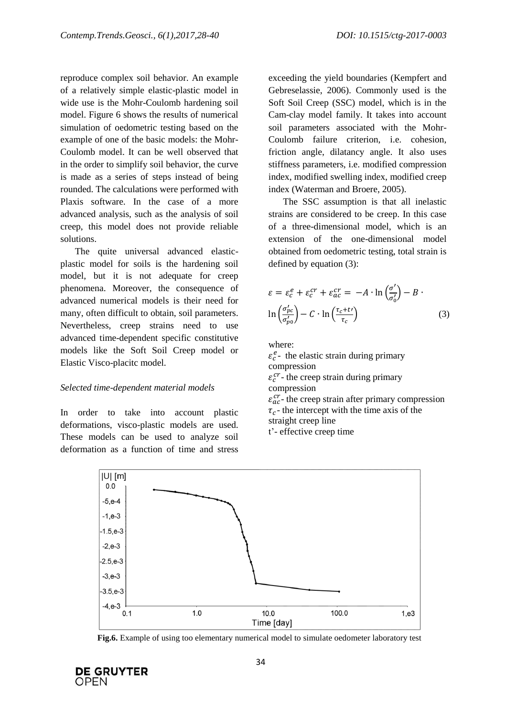reproduce complex soil behavior. An example of a relatively simple elastic-plastic model in wide use is the Mohr-Coulomb hardening soil model. Figure 6 shows the results of numerical simulation of oedometric testing based on the example of one of the basic models: the Mohr-Coulomb model. It can be well observed that in the order to simplify soil behavior, the curve is made as a series of steps instead of being rounded. The calculations were performed with Plaxis software. In the case of a more advanced analysis, such as the analysis of soil creep, this model does not provide reliable solutions.

The quite universal advanced elasticplastic model for soils is the hardening soil model, but it is not adequate for creep phenomena. Moreover, the consequence of advanced numerical models is their need for many, often difficult to obtain, soil parameters. Nevertheless, creep strains need to use advanced time-dependent specific constitutive models like the Soft Soil Creep model or Elastic Visco-placitc model.

#### *Selected time-dependent material models*

In order to take into account plastic deformations, visco-plastic models are used. These models can be used to analyze soil deformation as a function of time and stress

exceeding the yield boundaries (Kempfert and Gebreselassie, 2006). Commonly used is the Soft Soil Creep (SSC) model, which is in the Cam-clay model family. It takes into account soil parameters associated with the Mohr-Coulomb failure criterion, i.e. cohesion, friction angle, dilatancy angle. It also uses stiffness parameters, i.e. modified compression index, modified swelling index, modified creep index (Waterman and Broere, 2005).

The SSC assumption is that all inelastic strains are considered to be creep. In this case of a three-dimensional model, which is an extension of the one-dimensional model obtained from oedometric testing, total strain is defined by equation (3):

$$
\varepsilon = \varepsilon_c^e + \varepsilon_c^{cr} + \varepsilon_{ac}^{cr} = -A \cdot \ln\left(\frac{\sigma'}{\sigma_0'}\right) - B \cdot \ln\left(\frac{\sigma_{pc}'}{\sigma_{po}'}\right) - C \cdot \ln\left(\frac{\tau_c + t'}{\tau_c}\right) \tag{3}
$$

where:

 $\varepsilon_c^e$ - the elastic strain during primary compression  $\varepsilon_c^{cr}$  - the creep strain during primary compression

 $\varepsilon_{ac}^{cr}$ - the creep strain after primary compression  $\tau_c$ - the intercept with the time axis of the straight creep line

t'- effective creep time



**Fig.6.** Example of using too elementary numerical model to simulate oedometer laboratory test

**DE GRUYTER** OPFN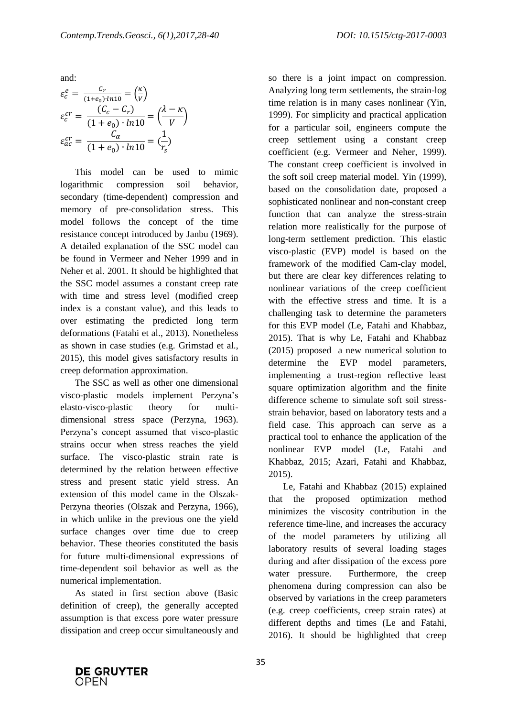and:

$$
\varepsilon_c^e = \frac{c_r}{(1 + e_0) \cdot ln 10} = \left(\frac{\kappa}{V}\right)
$$

$$
\varepsilon_c^{cr} = \frac{(C_c - C_r)}{(1 + e_0) \cdot ln 10} = \left(\frac{\lambda - \kappa}{V}\right)
$$

$$
\varepsilon_{ac}^{cr} = \frac{C_{\alpha}}{(1 + e_0) \cdot ln 10} = \left(\frac{1}{r_s}\right)
$$

This model can be used to mimic logarithmic compression soil behavior, secondary (time-dependent) compression and memory of pre-consolidation stress. This model follows the concept of the time resistance concept introduced by Janbu (1969). A detailed explanation of the SSC model can be found in Vermeer and Neher 1999 and in Neher et al. 2001. It should be highlighted that the SSC model assumes a constant creep rate with time and stress level (modified creep index is a constant value), and this leads to over estimating the predicted long term deformations (Fatahi et al., 2013). Nonetheless as shown in case studies (e.g. Grimstad et al., 2015), this model gives satisfactory results in creep deformation approximation.

The SSC as well as other one dimensional visco-plastic models implement Perzyna's elasto-visco-plastic theory for multidimensional stress space (Perzyna, 1963). Perzyna's concept assumed that visco-plastic strains occur when stress reaches the yield surface. The visco-plastic strain rate is determined by the relation between effective stress and present static yield stress. An extension of this model came in the Olszak-Perzyna theories (Olszak and Perzyna, 1966), in which unlike in the previous one the yield surface changes over time due to creep behavior. These theories constituted the basis for future multi-dimensional expressions of time-dependent soil behavior as well as the numerical implementation.

As stated in first section above (Basic definition of creep), the generally accepted assumption is that excess pore water pressure dissipation and creep occur simultaneously and so there is a joint impact on compression. Analyzing long term settlements, the strain-log time relation is in many cases nonlinear (Yin, 1999). For simplicity and practical application for a particular soil, engineers compute the creep settlement using a constant creep coefficient (e.g. Vermeer and Neher, 1999). The constant creep coefficient is involved in the soft soil creep material model. Yin (1999), based on the consolidation date, proposed a sophisticated nonlinear and non-constant creep function that can analyze the stress-strain relation more realistically for the purpose of long-term settlement prediction. This elastic visco-plastic (EVP) model is based on the framework of the modified Cam-clay model, but there are clear key differences relating to nonlinear variations of the creep coefficient with the effective stress and time. It is a challenging task to determine the parameters for this EVP model (Le, Fatahi and Khabbaz, 2015). That is why Le, Fatahi and Khabbaz (2015) proposed a new numerical solution to determine the EVP model parameters, implementing a trust-region reflective least square optimization algorithm and the finite difference scheme to simulate soft soil stressstrain behavior, based on laboratory tests and a field case. This approach can serve as a practical tool to enhance the application of the nonlinear EVP model (Le, Fatahi and Khabbaz, 2015; Azari, Fatahi and Khabbaz, 2015).

Le, Fatahi and Khabbaz (2015) explained that the proposed optimization method minimizes the viscosity contribution in the reference time-line, and increases the accuracy of the model parameters by utilizing all laboratory results of several loading stages during and after dissipation of the excess pore water pressure. Furthermore, the creep phenomena during compression can also be observed by variations in the creep parameters (e.g. creep coefficients, creep strain rates) at different depths and times (Le and Fatahi, 2016). It should be highlighted that creep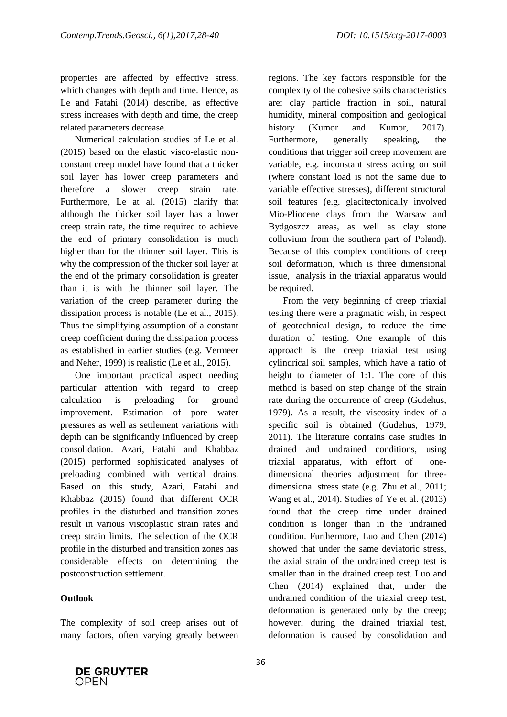properties are affected by effective stress, which changes with depth and time. Hence, as Le and Fatahi (2014) describe, as effective stress increases with depth and time, the creep related parameters decrease.

Numerical calculation studies of Le et al. (2015) based on the elastic visco-elastic nonconstant creep model have found that a thicker soil layer has lower creep parameters and therefore a slower creep strain rate. Furthermore, Le at al. (2015) clarify that although the thicker soil layer has a lower creep strain rate, the time required to achieve the end of primary consolidation is much higher than for the thinner soil layer. This is why the compression of the thicker soil layer at the end of the primary consolidation is greater than it is with the thinner soil layer. The variation of the creep parameter during the dissipation process is notable (Le et al., 2015). Thus the simplifying assumption of a constant creep coefficient during the dissipation process as established in earlier studies (e.g. Vermeer and Neher, 1999) is realistic (Le et al., 2015).

One important practical aspect needing particular attention with regard to creep calculation is preloading for ground improvement. Estimation of pore water pressures as well as settlement variations with depth can be significantly influenced by creep consolidation. Azari, Fatahi and Khabbaz (2015) performed sophisticated analyses of preloading combined with vertical drains. Based on this study, Azari, Fatahi and Khabbaz (2015) found that different OCR profiles in the disturbed and transition zones result in various viscoplastic strain rates and creep strain limits. The selection of the OCR profile in the disturbed and transition zones has considerable effects on determining the postconstruction settlement.

# **Outlook**

The complexity of soil creep arises out of many factors, often varying greatly between regions. The key factors responsible for the complexity of the cohesive soils characteristics are: clay particle fraction in soil, natural humidity, mineral composition and geological history (Kumor and Kumor, 2017). Furthermore, generally speaking, the conditions that trigger soil creep movement are variable, e.g. inconstant stress acting on soil (where constant load is not the same due to variable effective stresses), different structural soil features (e.g. glacitectonically involved Mio-Pliocene clays from the Warsaw and Bydgoszcz areas, as well as clay stone colluvium from the southern part of Poland). Because of this complex conditions of creep soil deformation, which is three dimensional issue, analysis in the triaxial apparatus would be required.

From the very beginning of creep triaxial testing there were a pragmatic wish, in respect of geotechnical design, to reduce the time duration of testing. One example of this approach is the creep triaxial test using cylindrical soil samples, which have a ratio of height to diameter of 1:1. The core of this method is based on step change of the strain rate during the occurrence of creep (Gudehus, 1979). As a result, the viscosity index of a specific soil is obtained (Gudehus, 1979; 2011). The literature contains case studies in drained and undrained conditions, using triaxial apparatus, with effort of onedimensional theories adjustment for threedimensional stress state (e.g. Zhu et al., 2011; Wang et al., 2014). Studies of Ye et al. (2013) found that the creep time under drained condition is longer than in the undrained condition. Furthermore, Luo and Chen (2014) showed that under the same deviatoric stress, the axial strain of the undrained creep test is smaller than in the drained creep test. Luo and Chen (2014) explained that, under the undrained condition of the triaxial creep test, deformation is generated only by the creep; however, during the drained triaxial test, deformation is caused by consolidation and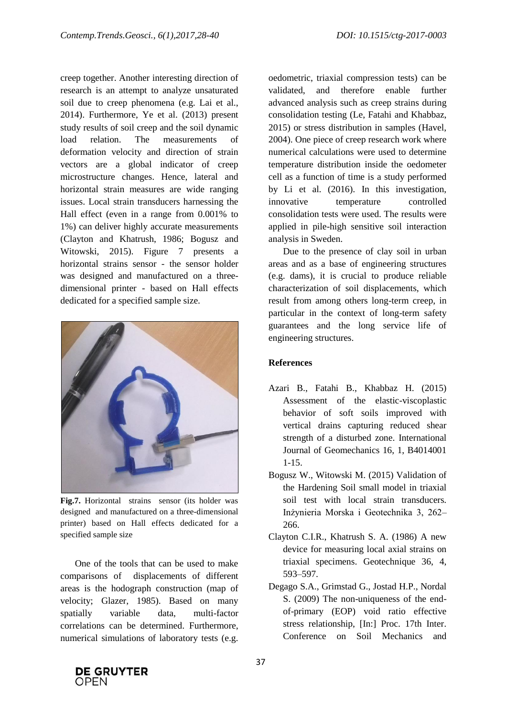creep together. Another interesting direction of research is an attempt to analyze unsaturated soil due to creep phenomena (e.g. Lai et al., 2014). Furthermore, Ye et al. (2013) present study results of soil creep and the soil dynamic load relation. The measurements of deformation velocity and direction of strain vectors are a global indicator of creep microstructure changes. Hence, lateral and horizontal strain measures are wide ranging issues. Local strain transducers harnessing the Hall effect (even in a range from 0.001% to 1%) can deliver highly accurate measurements (Clayton and Khatrush, 1986; Bogusz and Witowski, 2015). Figure 7 presents a horizontal strains sensor - the sensor holder was designed and manufactured on a threedimensional printer - based on Hall effects dedicated for a specified sample size.



**Fig.7.** Horizontal strains sensor (its holder was designed and manufactured on a three-dimensional printer) based on Hall effects dedicated for a specified sample size

One of the tools that can be used to make comparisons of displacements of different areas is the hodograph construction (map of velocity; Glazer, 1985). Based on many spatially variable data, multi-factor correlations can be determined. Furthermore, numerical simulations of laboratory tests (e.g.

oedometric, triaxial compression tests) can be validated, and therefore enable further advanced analysis such as creep strains during consolidation testing (Le, Fatahi and Khabbaz, 2015) or stress distribution in samples (Havel, 2004). One piece of creep research work where numerical calculations were used to determine temperature distribution inside the oedometer cell as a function of time is a study performed by Li et al. (2016). In this investigation, innovative temperature controlled consolidation tests were used. The results were applied in pile-high sensitive soil interaction analysis in Sweden.

Due to the presence of clay soil in urban areas and as a base of engineering structures (e.g. dams), it is crucial to produce reliable characterization of soil displacements, which result from among others long-term creep, in particular in the context of long-term safety guarantees and the long service life of engineering structures.

## **References**

- Azari B., Fatahi B., Khabbaz H. (2015) Assessment of the elastic-viscoplastic behavior of soft soils improved with vertical drains capturing reduced shear strength of a disturbed zone. International Journal of Geomechanics 16, 1, B4014001 1-15.
- Bogusz W., Witowski M. (2015) Validation of the Hardening Soil small model in triaxial soil test with local strain transducers. Inżynieria Morska i Geotechnika 3, 262– 266.
- Clayton C.I.R., Khatrush S. A. (1986) A new device for measuring local axial strains on triaxial specimens. Geotechnique 36, 4, 593–597.
- Degago S.A., Grimstad G., Jostad H.P., Nordal S. (2009) The non-uniqueness of the endof-primary (EOP) void ratio effective stress relationship, [In:] Proc. 17th Inter. Conference on Soil Mechanics and

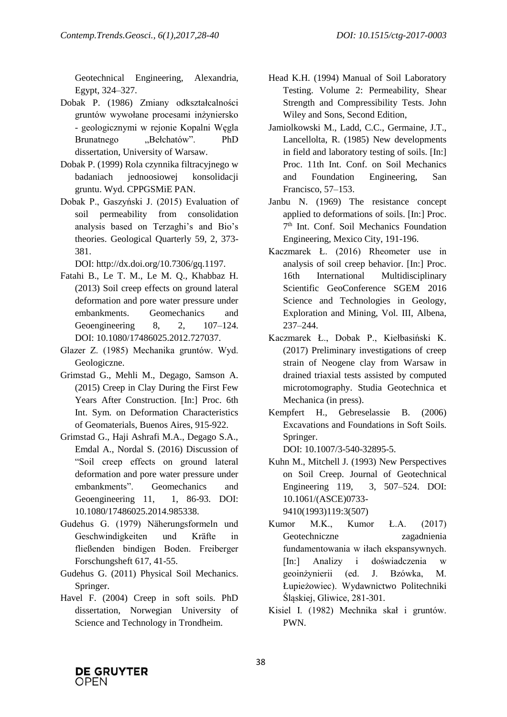Geotechnical Engineering, Alexandria, Egypt, 324–327.

- Dobak P. (1986) Zmiany odkształcalności gruntów wywołane procesami inżyniersko - geologicznymi w rejonie Kopalni Węgla Brunatnego "Bełchatów". PhD dissertation, University of Warsaw.
- Dobak P. (1999) Rola czynnika filtracyjnego w badaniach jednoosiowej konsolidacji gruntu. Wyd. CPPGSMiE PAN.
- Dobak P., Gaszyński J. (2015) Evaluation of soil permeability from consolidation analysis based on Terzaghi's and Bio's theories. Geological Quarterly 59, 2, 373- 381.

DOI: http://dx.doi.org/10.7306/gq.1197.

- Fatahi B., Le T. M., Le M. Q., Khabbaz H. (2013) Soil creep effects on ground lateral deformation and pore water pressure under embankments. Geomechanics and Geoengineering 8, 2, 107–124. DOI: 10.1080/17486025.2012.727037.
- Glazer Z. (1985) Mechanika gruntów. Wyd. Geologiczne.
- Grimstad G., Mehli M., Degago, Samson A. (2015) Creep in Clay During the First Few Years After Construction. [In:] Proc. 6th Int. Sym. on Deformation Characteristics of Geomaterials, Buenos Aires, 915-922.
- Grimstad G., Haji Ashrafi M.A., Degago S.A., Emdal A., Nordal S. (2016) Discussion of "Soil creep effects on ground lateral deformation and pore water pressure under embankments". Geomechanics and Geoengineering 11, 1, 86-93, DOI: 10.1080/17486025.2014.985338.
- Gudehus G. (1979) Näherungsformeln und Geschwindigkeiten und Kräfte in fließenden bindigen Boden. Freiberger Forschungsheft 617, 41-55.
- Gudehus G. (2011) Physical Soil Mechanics. Springer.
- Havel F. (2004) Creep in soft soils. PhD dissertation, Norwegian University of Science and Technology in Trondheim.
- Head K.H. (1994) Manual of Soil Laboratory Testing. Volume 2: Permeability, Shear Strength and Compressibility Tests. John Wiley and Sons, Second Edition,
- Jamiolkowski M., Ladd, C.C., Germaine, J.T., Lancellolta, R. (1985) New developments in field and laboratory testing of soils. [In:] Proc. 11th Int. Conf. on Soil Mechanics and Foundation Engineering, San Francisco, 57–153.
- Janbu N. (1969) The resistance concept applied to deformations of soils. [In:] Proc. 7 th Int. Conf. Soil Mechanics Foundation Engineering, Mexico City, 191-196.
- Kaczmarek Ł. (2016) Rheometer use in analysis of soil creep behavior. [In:] Proc. 16th International Multidisciplinary Scientific GeoConference SGEM 2016 Science and Technologies in Geology, Exploration and Mining, Vol. III, Albena, 237–244.
- Kaczmarek Ł., Dobak P., Kiełbasiński K. (2017) Preliminary investigations of creep strain of Neogene clay from Warsaw in drained triaxial tests assisted by computed microtomography. Studia Geotechnica et Mechanica (in press).
- Kempfert H., Gebreselassie B. (2006) Excavations and Foundations in Soft Soils. Springer.

DOI: 10.1007/3-540-32895-5.

- Kuhn M., Mitchell J. (1993) New Perspectives on Soil Creep. Journal of Geotechnical Engineering 119, 3, 507–524. DOI: 10.1061/(ASCE)0733- 9410(1993)119:3(507)
- Kumor M.K., Kumor Ł.A. (2017) Geotechniczne zagadnienia fundamentowania w iłach ekspansywnych. [In:] Analizy i doświadczenia w geoinżynierii (ed. J. Bzówka, M. Łupieżowiec). Wydawnictwo Politechniki Śląskiej, Gliwice, 281-301.
- Kisiel I. (1982) Mechnika skał i gruntów. PWN.

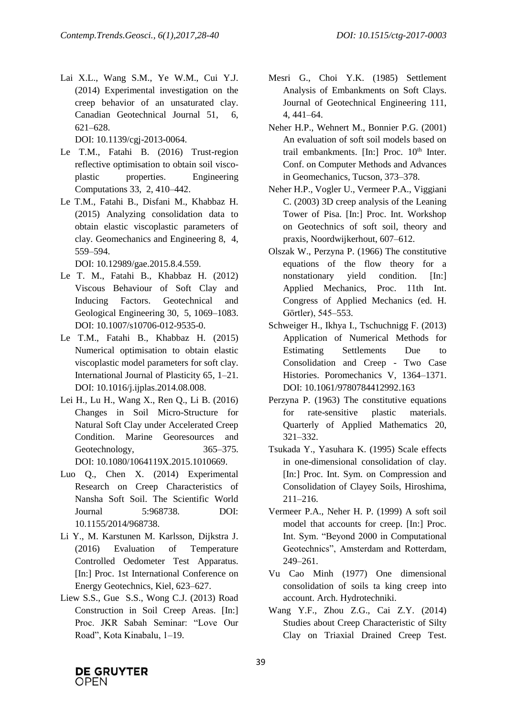Lai X.L., Wang S.M., Ye W.M., Cui Y.J. (2014) Experimental investigation on the creep behavior of an unsaturated clay. Canadian Geotechnical Journal 51, 6, 621–628.

DOI: 10.1139/cgj-2013-0064.

- Le T.M., Fatahi B. (2016) Trust-region reflective optimisation to obtain soil viscoplastic properties. Engineering Computations 33, 2, 410–442.
- Le T.M., Fatahi B., Disfani M., Khabbaz H. (2015) Analyzing consolidation data to obtain elastic viscoplastic parameters of clay. Geomechanics and Engineering 8, 4, 559–594.

DOI: 10.12989/gae.2015.8.4.559.

- Le T. M., Fatahi B., Khabbaz H. (2012) Viscous Behaviour of Soft Clay and Inducing Factors. Geotechnical and Geological Engineering 30, 5, 1069–1083. DOI: 10.1007/s10706-012-9535-0.
- Le T.M., Fatahi B., Khabbaz H. (2015) Numerical optimisation to obtain elastic viscoplastic model parameters for soft clay. International Journal of Plasticity 65, 1–21. DOI: 10.1016/j.ijplas.2014.08.008.
- Lei H., Lu H., Wang X., Ren Q., Li B. (2016) Changes in Soil Micro-Structure for Natural Soft Clay under Accelerated Creep Condition. Marine Georesources and Geotechnology, 365–375. DOI: 10.1080/1064119X.2015.1010669.
- Luo Q., Chen X. (2014) Experimental Research on Creep Characteristics of Nansha Soft Soil. The Scientific World Journal 5:968738. DOI: 10.1155/2014/968738.
- Li Y., M. Karstunen M. Karlsson, Dijkstra J. (2016) Evaluation of Temperature Controlled Oedometer Test Apparatus. [In:] Proc. 1st International Conference on Energy Geotechnics, Kiel, 623–627.
- Liew S.S., Gue S.S., Wong C.J. (2013) Road Construction in Soil Creep Areas. [In:] Proc. JKR Sabah Seminar: "Love Our Road", Kota Kinabalu, 1–19.
- Mesri G., Choi Y.K. (1985) Settlement Analysis of Embankments on Soft Clays. Journal of Geotechnical Engineering 111, 4, 441–64.
- Neher H.P., Wehnert M., Bonnier P.G. (2001) An evaluation of soft soil models based on trail embankments. [In:] Proc. 10<sup>th</sup> Inter. Conf. on Computer Methods and Advances in Geomechanics, Tucson, 373–378.
- Neher H.P., Vogler U., Vermeer P.A., Viggiani C. (2003) 3D creep analysis of the Leaning Tower of Pisa. [In:] Proc. Int. Workshop on Geotechnics of soft soil, theory and praxis, Noordwijkerhout, 607–612.
- Olszak W., Perzyna P. (1966) The constitutive equations of the flow theory for a nonstationary yield condition. [In:] Applied Mechanics, Proc. 11th Int. Congress of Applied Mechanics (ed. H. Görtler), 545–553.
- Schweiger H., Ikhya I., Tschuchnigg F. (2013) Application of Numerical Methods for Estimating Settlements Due to Consolidation and Creep - Two Case Histories. Poromechanics V, 1364–1371. DOI: 10.1061/9780784412992.163
- Perzyna P. (1963) The constitutive equations for rate-sensitive plastic materials. Quarterly of Applied Mathematics 20, 321–332.
- Tsukada Y., Yasuhara K. (1995) Scale effects in one-dimensional consolidation of clay. [In:] Proc. Int. Sym. on Compression and Consolidation of Clayey Soils, Hiroshima, 211–216.
- Vermeer P.A., Neher H. P. (1999) A soft soil model that accounts for creep. [In:] Proc. Int. Sym. "Beyond 2000 in Computational Geotechnics", Amsterdam and Rotterdam, 249–261.
- Vu Cao Minh (1977) One dimensional consolidation of soils ta king creep into account. Arch. Hydrotechniki.
- Wang Y.F., Zhou Z.G., Cai Z.Y. (2014) Studies about Creep Characteristic of Silty Clay on Triaxial Drained Creep Test.